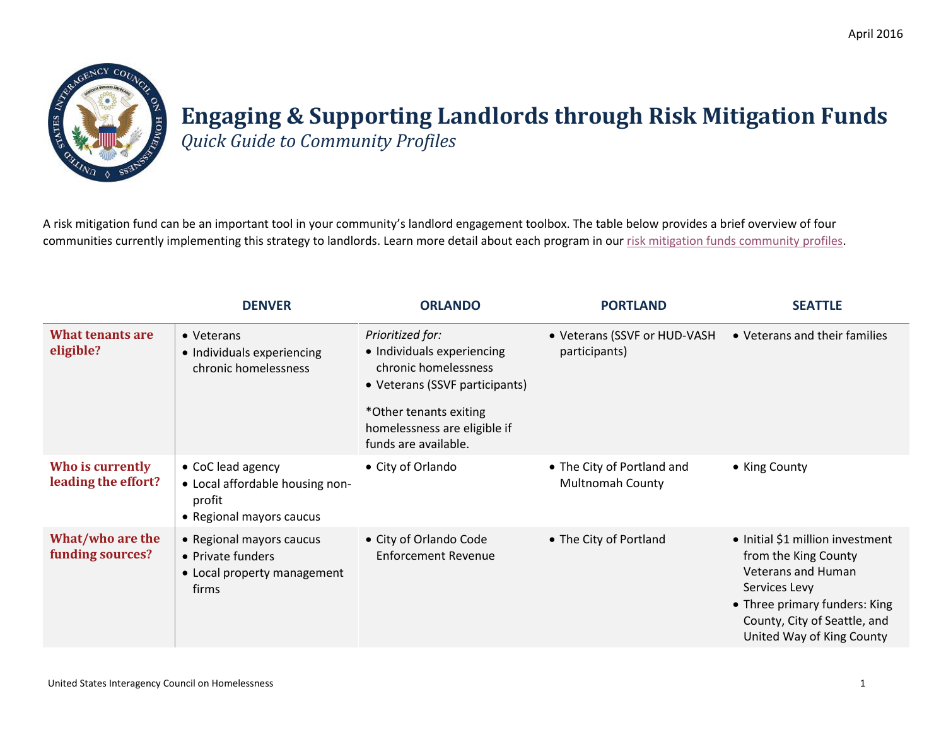

## **Engaging & Supporting Landlords through Risk Mitigation Funds**

*Quick Guide to Community Profiles*

A risk mitigation fund can be an important tool in your community's landlord engagement toolbox. The table below provides a brief overview of four communities currently implementing this strategy to landlords. Learn more detail about each program in ou[r risk mitigation funds community profiles.](https://www.usich.gov/resources/uploads/asset_library/Risk_mitigation_funds_community_profiles.pdf)

|                                         | <b>DENVER</b>                                                                              | <b>ORLANDO</b>                                                                                                                                                                             | <b>PORTLAND</b>                                       | <b>SEATTLE</b>                                                                                                                                                                                       |
|-----------------------------------------|--------------------------------------------------------------------------------------------|--------------------------------------------------------------------------------------------------------------------------------------------------------------------------------------------|-------------------------------------------------------|------------------------------------------------------------------------------------------------------------------------------------------------------------------------------------------------------|
| <b>What tenants are</b><br>eligible?    | • Veterans<br>• Individuals experiencing<br>chronic homelessness                           | Prioritized for:<br>• Individuals experiencing<br>chronic homelessness<br>• Veterans (SSVF participants)<br>*Other tenants exiting<br>homelessness are eligible if<br>funds are available. | • Veterans (SSVF or HUD-VASH<br>participants)         | • Veterans and their families                                                                                                                                                                        |
| Who is currently<br>leading the effort? | • CoC lead agency<br>• Local affordable housing non-<br>profit<br>• Regional mayors caucus | • City of Orlando                                                                                                                                                                          | • The City of Portland and<br><b>Multnomah County</b> | • King County                                                                                                                                                                                        |
| What/who are the<br>funding sources?    | • Regional mayors caucus<br>• Private funders<br>• Local property management<br>firms      | • City of Orlando Code<br><b>Enforcement Revenue</b>                                                                                                                                       | • The City of Portland                                | • Initial \$1 million investment<br>from the King County<br><b>Veterans and Human</b><br>Services Levy<br>• Three primary funders: King<br>County, City of Seattle, and<br>United Way of King County |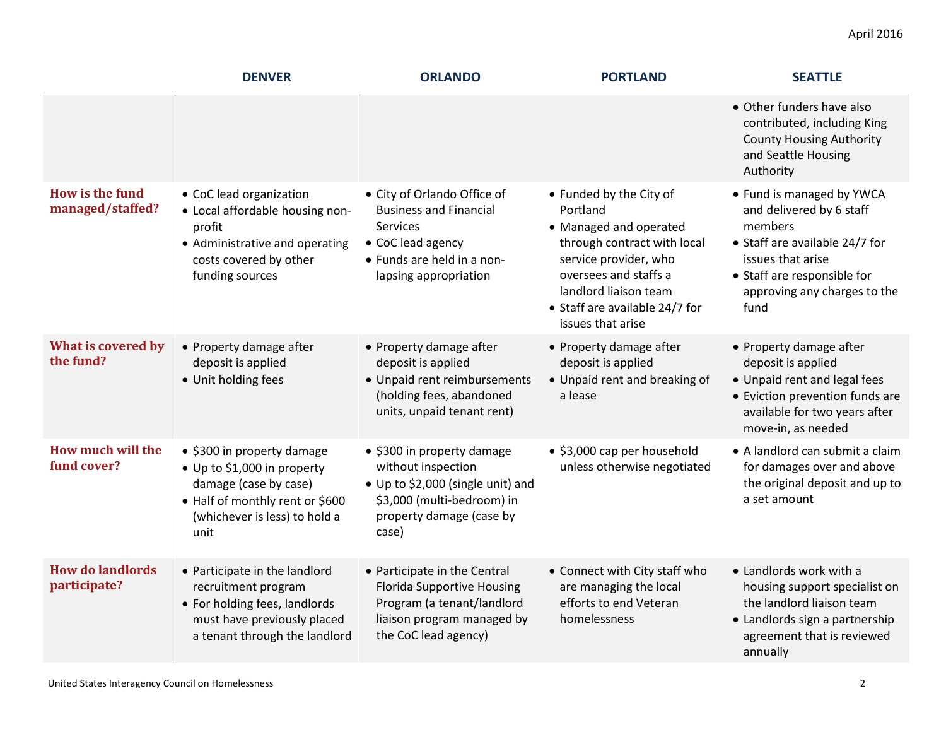|                                            | <b>DENVER</b>                                                                                                                                                  | <b>ORLANDO</b>                                                                                                                                              | <b>PORTLAND</b>                                                                                                                                                                                                                | <b>SEATTLE</b>                                                                                                                                                                                 |
|--------------------------------------------|----------------------------------------------------------------------------------------------------------------------------------------------------------------|-------------------------------------------------------------------------------------------------------------------------------------------------------------|--------------------------------------------------------------------------------------------------------------------------------------------------------------------------------------------------------------------------------|------------------------------------------------------------------------------------------------------------------------------------------------------------------------------------------------|
|                                            |                                                                                                                                                                |                                                                                                                                                             |                                                                                                                                                                                                                                | • Other funders have also<br>contributed, including King<br><b>County Housing Authority</b><br>and Seattle Housing<br>Authority                                                                |
| <b>How is the fund</b><br>managed/staffed? | • CoC lead organization<br>• Local affordable housing non-<br>profit<br>• Administrative and operating<br>costs covered by other<br>funding sources            | • City of Orlando Office of<br><b>Business and Financial</b><br><b>Services</b><br>• CoC lead agency<br>• Funds are held in a non-<br>lapsing appropriation | • Funded by the City of<br>Portland<br>• Managed and operated<br>through contract with local<br>service provider, who<br>oversees and staffs a<br>landlord liaison team<br>• Staff are available 24/7 for<br>issues that arise | • Fund is managed by YWCA<br>and delivered by 6 staff<br>members<br>• Staff are available 24/7 for<br>issues that arise<br>• Staff are responsible for<br>approving any charges to the<br>fund |
| What is covered by<br>the fund?            | • Property damage after<br>deposit is applied<br>• Unit holding fees                                                                                           | • Property damage after<br>deposit is applied<br>• Unpaid rent reimbursements<br>(holding fees, abandoned<br>units, unpaid tenant rent)                     | • Property damage after<br>deposit is applied<br>• Unpaid rent and breaking of<br>a lease                                                                                                                                      | • Property damage after<br>deposit is applied<br>• Unpaid rent and legal fees<br>• Eviction prevention funds are<br>available for two years after<br>move-in, as needed                        |
| How much will the<br>fund cover?           | • \$300 in property damage<br>• Up to \$1,000 in property<br>damage (case by case)<br>• Half of monthly rent or \$600<br>(whichever is less) to hold a<br>unit | • \$300 in property damage<br>without inspection<br>• Up to \$2,000 (single unit) and<br>\$3,000 (multi-bedroom) in<br>property damage (case by<br>case)    | • \$3,000 cap per household<br>unless otherwise negotiated                                                                                                                                                                     | • A landlord can submit a claim<br>for damages over and above<br>the original deposit and up to<br>a set amount                                                                                |
| <b>How do landlords</b><br>participate?    | • Participate in the landlord<br>recruitment program<br>• For holding fees, landlords<br>must have previously placed<br>a tenant through the landlord          | • Participate in the Central<br><b>Florida Supportive Housing</b><br>Program (a tenant/landlord<br>liaison program managed by<br>the CoC lead agency)       | • Connect with City staff who<br>are managing the local<br>efforts to end Veteran<br>homelessness                                                                                                                              | • Landlords work with a<br>housing support specialist on<br>the landlord liaison team<br>• Landlords sign a partnership<br>agreement that is reviewed<br>annually                              |